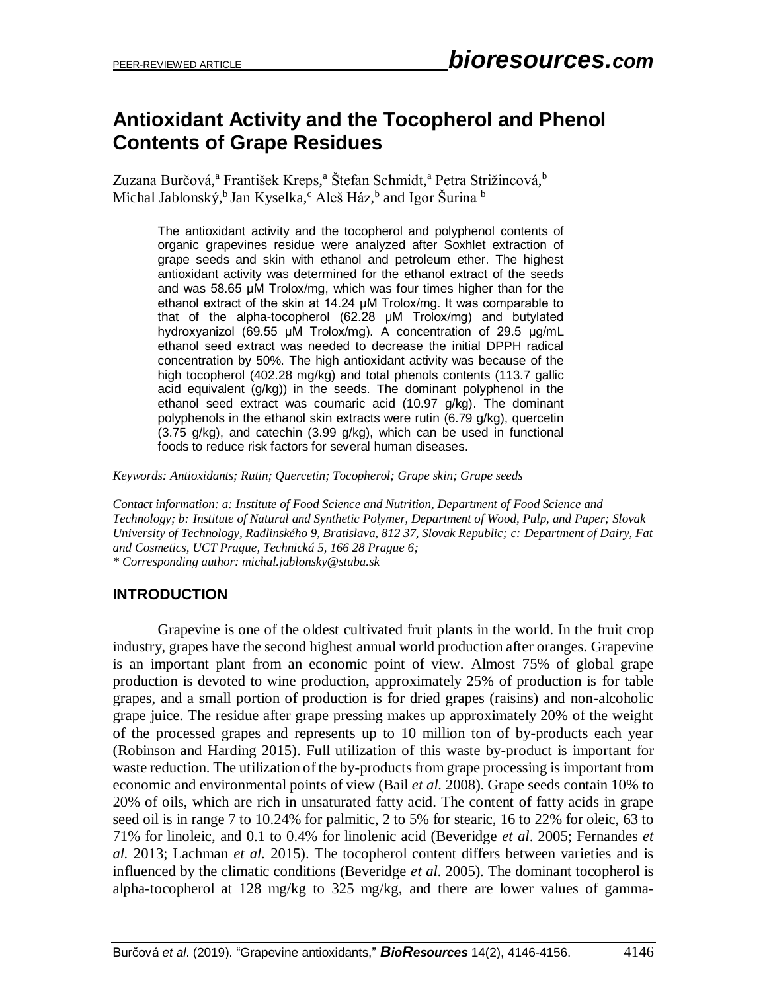# **Antioxidant Activity and the Tocopherol and Phenol Contents of Grape Residues**

Zuzana Burčová,ª František Kreps,ª Štefan Schmidt,ª Petra Strižincová,<sup>b</sup> Michal Jablonský,<sup>b</sup> Jan Kyselka,<sup>c</sup> Aleš Ház,<sup>b</sup> and Igor Šurina <sup>b</sup>

> The antioxidant activity and the tocopherol and polyphenol contents of organic grapevines residue were analyzed after Soxhlet extraction of grape seeds and skin with ethanol and petroleum ether. The highest antioxidant activity was determined for the ethanol extract of the seeds and was 58.65 μM Trolox/mg, which was four times higher than for the ethanol extract of the skin at 14.24 μM Trolox/mg. It was comparable to that of the alpha-tocopherol (62.28 μM Trolox/mg) and butylated hydroxyanizol (69.55 μM Trolox/mg). A concentration of 29.5 μg/mL ethanol seed extract was needed to decrease the initial DPPH radical concentration by 50%. The high antioxidant activity was because of the high tocopherol (402.28 mg/kg) and total phenols contents (113.7 gallic acid equivalent (g/kg)) in the seeds. The dominant polyphenol in the ethanol seed extract was coumaric acid (10.97 g/kg). The dominant polyphenols in the ethanol skin extracts were rutin (6.79 g/kg), quercetin (3.75 g/kg), and catechin (3.99 g/kg), which can be used in functional foods to reduce risk factors for several human diseases.

*Keywords: Antioxidants; Rutin; Quercetin; Tocopherol; Grape skin; Grape seeds*

*Contact information: a: Institute of Food Science and Nutrition, Department of Food Science and Technology; b: Institute of Natural and Synthetic Polymer, Department of Wood, Pulp, and Paper; Slovak University of Technology, Radlinského 9, Bratislava, 812 37, Slovak Republic; c: Department of Dairy, Fat and Cosmetics, UCT Prague, Technická 5, 166 28 Prague 6; \* Corresponding author: michal.jablonsky@stuba.sk*

# **INTRODUCTION**

Grapevine is one of the oldest cultivated fruit plants in the world. In the fruit crop industry, grapes have the second highest annual world production after oranges. Grapevine is an important plant from an economic point of view. Almost 75% of global grape production is devoted to wine production, approximately 25% of production is for table grapes, and a small portion of production is for dried grapes (raisins) and non-alcoholic grape juice. The residue after grape pressing makes up approximately 20% of the weight of the processed grapes and represents up to 10 million ton of by-products each year (Robinson and Harding 2015). Full utilization of this waste by-product is important for waste reduction. The utilization of the by-products from grape processing is important from economic and environmental points of view (Bail *et al.* 2008). Grape seeds contain 10% to 20% of oils, which are rich in unsaturated fatty acid. The content of fatty acids in grape seed oil is in range 7 to 10.24% for palmitic, 2 to 5% for stearic, 16 to 22% for oleic, 63 to 71% for linoleic, and 0.1 to 0.4% for linolenic acid (Beveridge *et al*. 2005; Fernandes *et al.* 2013; Lachman *et al.* 2015). The tocopherol content differs between varieties and is influenced by the climatic conditions (Beveridge *et al*. 2005). The dominant tocopherol is alpha-tocopherol at 128 mg/kg to 325 mg/kg, and there are lower values of gamma-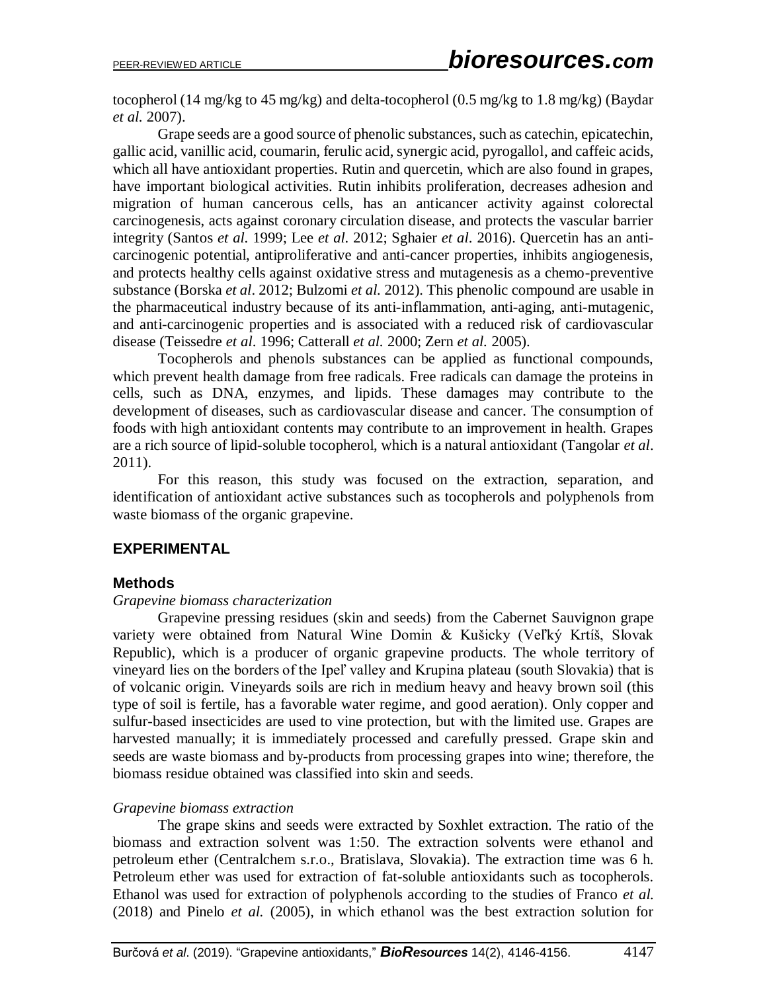tocopherol (14 mg/kg to 45 mg/kg) and delta-tocopherol (0.5 mg/kg to 1.8 mg/kg) (Baydar *et al.* 2007).

Grape seeds are a good source of phenolic substances, such as catechin, epicatechin, gallic acid, vanillic acid, coumarin, ferulic acid, synergic acid, pyrogallol, and caffeic acids, which all have antioxidant properties. Rutin and quercetin, which are also found in grapes, have important biological activities. Rutin inhibits proliferation, decreases adhesion and migration of human cancerous cells, has an anticancer activity against colorectal carcinogenesis, acts against coronary circulation disease, and protects the vascular barrier integrity (Santos *et al*. 1999; Lee *et al*. 2012; Sghaier *et al*. 2016). Quercetin has an anticarcinogenic potential, antiproliferative and anti-cancer properties, inhibits angiogenesis, and protects healthy cells against oxidative stress and mutagenesis as a chemo-preventive substance (Borska *et al*. 2012; Bulzomi *et al.* 2012). This phenolic compound are usable in the pharmaceutical industry because of its anti-inflammation, anti-aging, anti-mutagenic, and anti-carcinogenic properties and is associated with a reduced risk of cardiovascular disease (Teissedre *et al*. 1996; Catterall *et al.* 2000; Zern *et al.* 2005).

Tocopherols and phenols substances can be applied as functional compounds, which prevent health damage from free radicals. Free radicals can damage the proteins in cells, such as DNA, enzymes, and lipids. These damages may contribute to the development of diseases, such as cardiovascular disease and cancer. The consumption of foods with high antioxidant contents may contribute to an improvement in health. Grapes are a rich source of lipid-soluble tocopherol, which is a natural antioxidant (Tangolar *et al*. 2011).

For this reason, this study was focused on the extraction, separation, and identification of antioxidant active substances such as tocopherols and polyphenols from waste biomass of the organic grapevine.

## **EXPERIMENTAL**

#### **Methods**

#### *Grapevine biomass characterization*

Grapevine pressing residues (skin and seeds) from the Cabernet Sauvignon grape variety were obtained from Natural Wine Domin & Kušicky (Veľký Krtíš, Slovak Republic), which is a producer of organic grapevine products. The whole territory of vineyard lies on the borders of the Ipeľ valley and Krupina plateau (south Slovakia) that is of volcanic origin. Vineyards soils are rich in medium heavy and heavy brown soil (this type of soil is fertile, has a favorable water regime, and good aeration). Only copper and sulfur-based insecticides are used to vine protection, but with the limited use. Grapes are harvested manually; it is immediately processed and carefully pressed. Grape skin and seeds are waste biomass and by-products from processing grapes into wine; therefore, the biomass residue obtained was classified into skin and seeds.

#### *Grapevine biomass extraction*

The grape skins and seeds were extracted by Soxhlet extraction. The ratio of the biomass and extraction solvent was 1:50. The extraction solvents were ethanol and petroleum ether (Centralchem s.r.o., Bratislava, Slovakia). The extraction time was 6 h. Petroleum ether was used for extraction of fat-soluble antioxidants such as tocopherols. Ethanol was used for extraction of polyphenols according to the studies of Franco *et al.* (2018) and Pinelo *et al.* (2005), in which ethanol was the best extraction solution for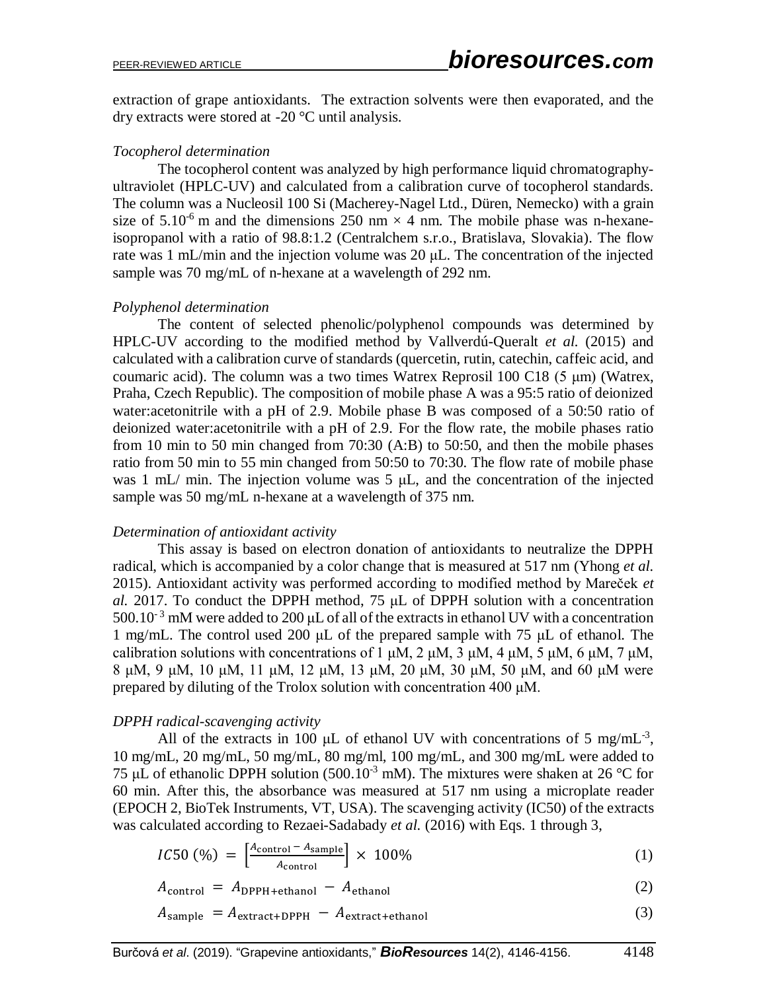extraction of grape antioxidants. The extraction solvents were then evaporated, and the dry extracts were stored at -20 °C until analysis.

#### *Tocopherol determination*

The tocopherol content was analyzed by high performance liquid chromatographyultraviolet (HPLC-UV) and calculated from a calibration curve of tocopherol standards. The column was a Nucleosil 100 Si (Macherey-Nagel Ltd., Düren, Nemecko) with a grain size of  $5.10^{-6}$  m and the dimensions 250 nm  $\times$  4 nm. The mobile phase was n-hexaneisopropanol with a ratio of 98.8:1.2 (Centralchem s.r.o., Bratislava, Slovakia). The flow rate was 1 mL/min and the injection volume was 20 μL. The concentration of the injected sample was 70 mg/mL of n-hexane at a wavelength of 292 nm.

### *Polyphenol determination*

The content of selected phenolic/polyphenol compounds was determined by HPLC-UV according to the modified method by Vallverdú-Queralt *et al.* (2015) and calculated with a calibration curve of standards (quercetin, rutin, catechin, caffeic acid, and coumaric acid). The column was a two times Watrex Reprosil 100 C18 (5 μm) (Watrex, Praha, Czech Republic). The composition of mobile phase A was a 95:5 ratio of deionized water:acetonitrile with a pH of 2.9. Mobile phase B was composed of a 50:50 ratio of deionized water:acetonitrile with a pH of 2.9. For the flow rate, the mobile phases ratio from 10 min to 50 min changed from 70:30 (A:B) to 50:50, and then the mobile phases ratio from 50 min to 55 min changed from 50:50 to 70:30. The flow rate of mobile phase was 1 mL/ min. The injection volume was 5 μL, and the concentration of the injected sample was 50 mg/mL n-hexane at a wavelength of 375 nm.

## *Determination of antioxidant activity*

This assay is based on electron donation of antioxidants to neutralize the DPPH radical, which is accompanied by a color change that is measured at 517 nm (Yhong *et al.* 2015). Antioxidant activity was performed according to modified method by Mareček *et al.* 2017. To conduct the DPPH method, 75 μL of DPPH solution with a concentration  $500.10^{-3}$  mM were added to 200  $\mu$ L of all of the extracts in ethanol UV with a concentration 1 mg/mL. The control used 200 μL of the prepared sample with 75 μL of ethanol. The calibration solutions with concentrations of 1  $\mu$ M, 2  $\mu$ M, 3  $\mu$ M, 4  $\mu$ M, 5  $\mu$ M, 6  $\mu$ M, 7  $\mu$ M, 8 μM, 9 μM, 10 μM, 11 μM, 12 μM, 13 μM, 20 μM, 30 μM, 50 μM, and 60 μM were prepared by diluting of the Trolox solution with concentration 400 μM.

#### *DPPH radical-scavenging activity*

All of the extracts in 100  $\mu$ L of ethanol UV with concentrations of 5 mg/mL<sup>-3</sup>, 10 mg/mL, 20 mg/mL, 50 mg/mL, 80 mg/ml, 100 mg/mL, and 300 mg/mL were added to 75 μL of ethanolic DPPH solution (500.10<sup>-3</sup> mM). The mixtures were shaken at 26 °C for 60 min. After this, the absorbance was measured at 517 nm using a microplate reader (EPOCH 2, BioTek Instruments, VT, USA). The scavenging activity (IC50) of the extracts was calculated according to Rezaei-Sadabady *et al.* (2016) with Eqs. 1 through 3,

$$
IC50 \text{ } (\%) = \left[ \frac{A_{\text{control}} - A_{\text{sample}}}{A_{\text{control}}} \right] \times 100\% \tag{1}
$$

$$
A_{\text{control}} = A_{\text{DPPH}+\text{ethanol}} - A_{\text{ethanol}} \tag{2}
$$

$$
A_{\text{sample}} = A_{\text{extract} + \text{DPPH}} - A_{\text{extract} + \text{ethanol}} \tag{3}
$$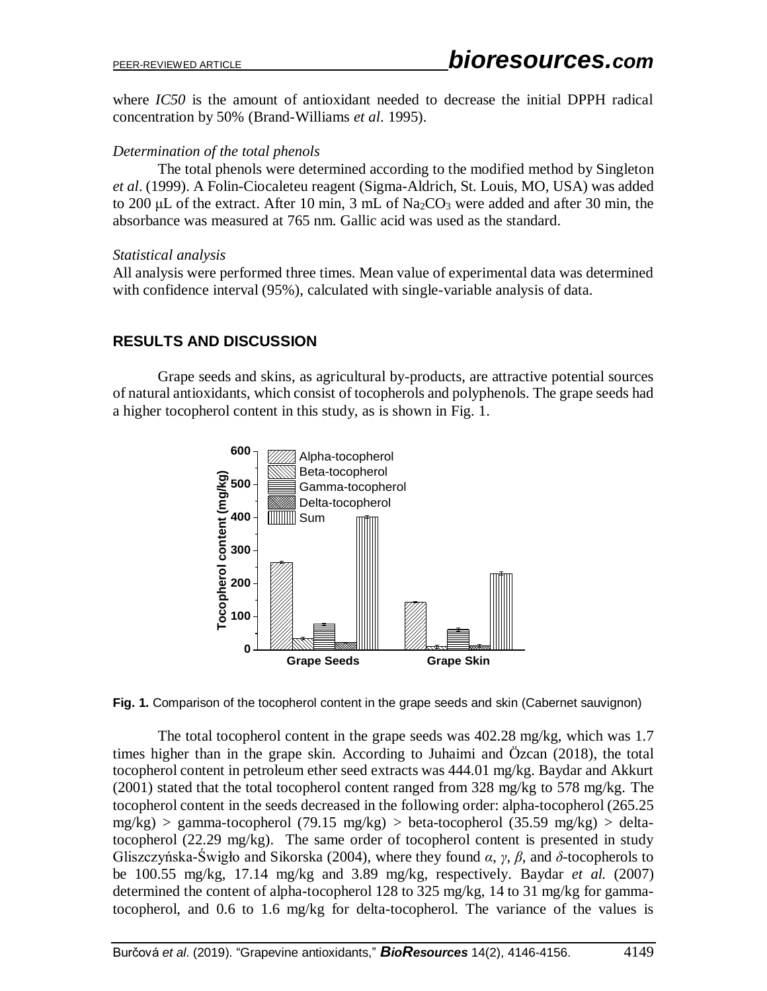where *IC50* is the amount of antioxidant needed to decrease the initial DPPH radical concentration by 50% (Brand-Williams *et al*. 1995).

## *Determination of the total phenols*

The total phenols were determined according to the modified method by Singleton *et al*. (1999). A Folin-Ciocaleteu reagent (Sigma-Aldrich, St. Louis, MO, USA) was added to 200 μL of the extract. After 10 min, 3 mL of  $\text{Na}_2\text{CO}_3$  were added and after 30 min, the absorbance was measured at 765 nm. Gallic acid was used as the standard.

#### *Statistical analysis*

All analysis were performed three times. Mean value of experimental data was determined with confidence interval (95%), calculated with single-variable analysis of data.

# **RESULTS AND DISCUSSION**

Grape seeds and skins, as agricultural by-products, are attractive potential sources of natural antioxidants, which consist of tocopherols and polyphenols. The grape seeds had a higher tocopherol content in this study, as is shown in Fig. 1.





The total tocopherol content in the grape seeds was 402.28 mg/kg, which was 1.7 times higher than in the grape skin. According to Juhaimi and Özcan (2018), the total tocopherol content in petroleum ether seed extracts was 444.01 mg/kg. Baydar and Akkurt (2001) stated that the total tocopherol content ranged from 328 mg/kg to 578 mg/kg. The tocopherol content in the seeds decreased in the following order: alpha-tocopherol (265.25  $mg/kg$ ) > gamma-tocopherol (79.15 mg/kg) > beta-tocopherol (35.59 mg/kg) > deltatocopherol (22.29 mg/kg). The same order of tocopherol content is presented in study Gliszczyńska-Świgło and Sikorska (2004), where they found *α*, *γ*, *β*, and *δ*-tocopherols to be 100.55 mg/kg, 17.14 mg/kg and 3.89 mg/kg, respectively. Baydar *et al.* (2007) determined the content of alpha-tocopherol 128 to 325 mg/kg, 14 to 31 mg/kg for gammatocopherol, and 0.6 to 1.6 mg/kg for delta-tocopherol. The variance of the values is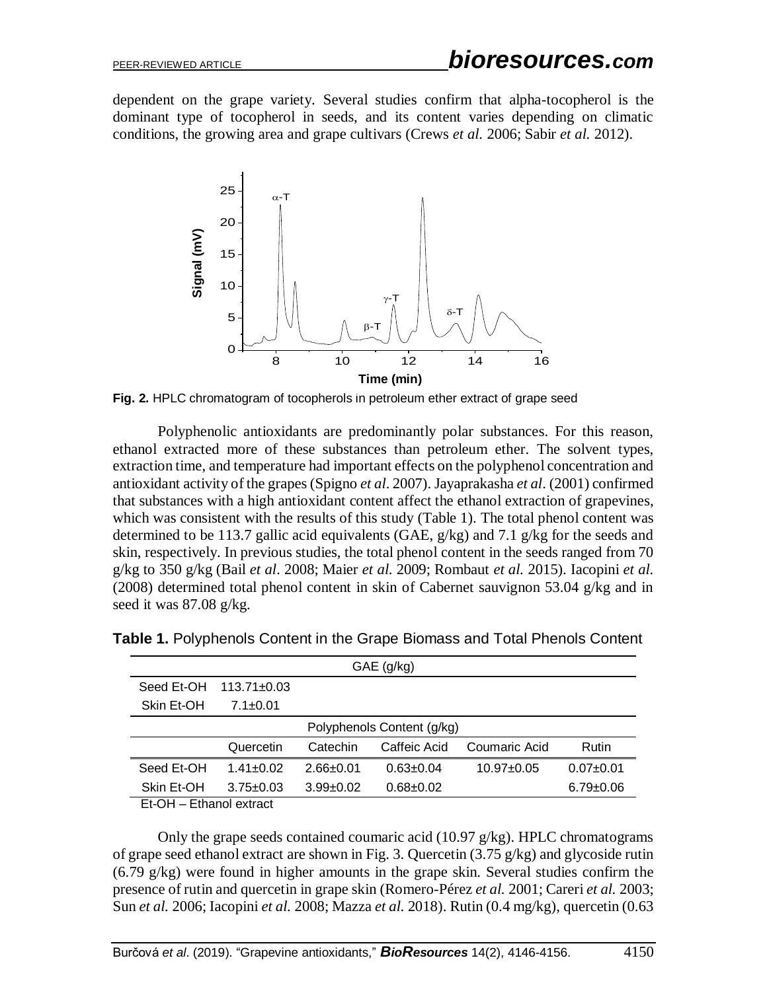dependent on the grape variety. Several studies confirm that alpha-tocopherol is the dominant type of tocopherol in seeds, and its content varies depending on climatic conditions, the growing area and grape cultivars (Crews *et al.* 2006; Sabir *et al.* 2012).



**Fig. 2.** HPLC chromatogram of tocopherols in petroleum ether extract of grape seed

Polyphenolic antioxidants are predominantly polar substances. For this reason, ethanol extracted more of these substances than petroleum ether. The solvent types, extraction time, and temperature had important effects on the polyphenol concentration and antioxidant activity of the grapes(Spigno *et al*. 2007). Jayaprakasha *et al*. (2001) confirmed that substances with a high antioxidant content affect the ethanol extraction of grapevines, which was consistent with the results of this study (Table 1). The total phenol content was determined to be 113.7 gallic acid equivalents (GAE, g/kg) and 7.1 g/kg for the seeds and skin, respectively. In previous studies, the total phenol content in the seeds ranged from 70 g/kg to 350 g/kg (Bail *et al*. 2008; Maier *et al*. 2009; Rombaut *et al.* 2015). Iacopini *et al.* (2008) determined total phenol content in skin of Cabernet sauvignon 53.04 g/kg and in seed it was 87.08 g/kg.

| $GAE$ (g/kg)               |                   |                 |               |                |                 |  |
|----------------------------|-------------------|-----------------|---------------|----------------|-----------------|--|
| Seed Et-OH                 | $113.71 \pm 0.03$ |                 |               |                |                 |  |
| Skin Et-OH                 | $7.1 \pm 0.01$    |                 |               |                |                 |  |
| Polyphenols Content (g/kg) |                   |                 |               |                |                 |  |
|                            | Quercetin         | Catechin        | Caffeic Acid  | Coumaric Acid  | <b>Rutin</b>    |  |
| Seed Et-OH                 | $1.41 + 0.02$     | $2.66 \pm 0.01$ | $0.63 + 0.04$ | $10.97 + 0.05$ | $0.07+0.01$     |  |
| Skin Et-OH                 | $3.75 \pm 0.03$   | $3.99 + 0.02$   | $0.68 + 0.02$ |                | $6.79 \pm 0.06$ |  |

**Table 1.** Polyphenols Content in the Grape Biomass and Total Phenols Content

Et-OH – Ethanol extract

Only the grape seeds contained coumaric acid  $(10.97 \text{ g/kg})$ . HPLC chromatograms of grape seed ethanol extract are shown in Fig. 3. Quercetin (3.75 g/kg) and glycoside rutin (6.79 g/kg) were found in higher amounts in the grape skin. Several studies confirm the presence of rutin and quercetin in grape skin (Romero-Pérez *et al.* 2001; Careri *et al.* 2003; Sun *et al.* 2006; Iacopini *et al.* 2008; Mazza *et al.* 2018). Rutin (0.4 mg/kg), quercetin (0.63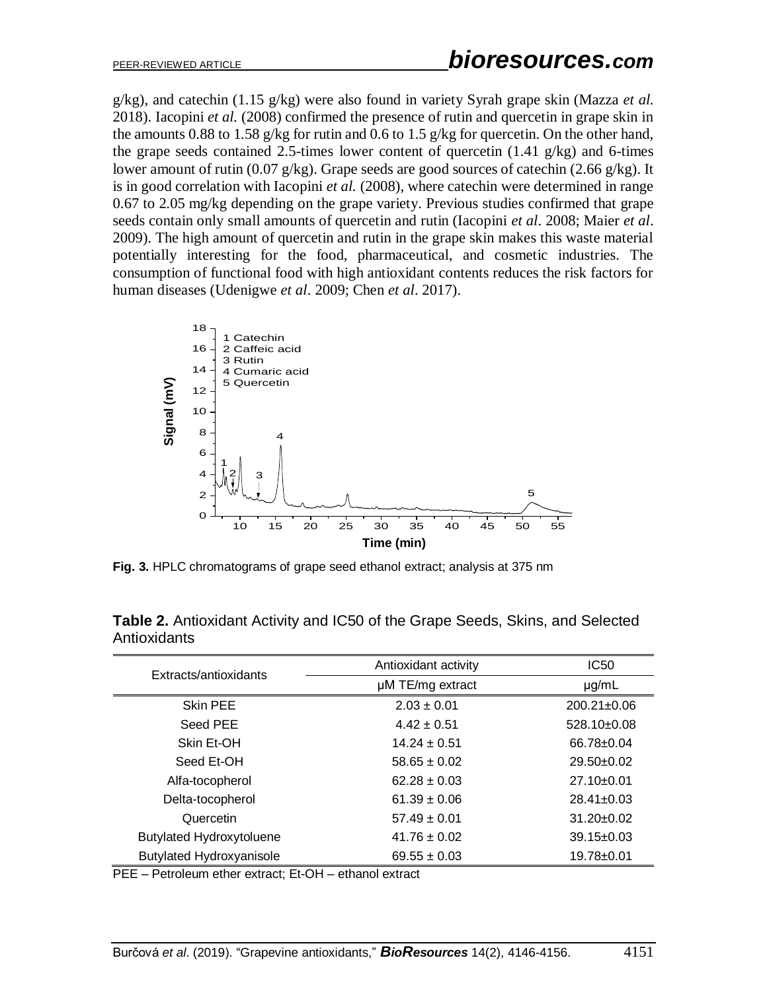g/kg), and catechin (1.15 g/kg) were also found in variety Syrah grape skin (Mazza *et al.* 2018). Iacopini *et al.* (2008) confirmed the presence of rutin and quercetin in grape skin in the amounts 0.88 to 1.58 g/kg for rutin and 0.6 to 1.5 g/kg for quercetin. On the other hand, the grape seeds contained 2.5-times lower content of quercetin (1.41 g/kg) and 6-times lower amount of rutin (0.07 g/kg). Grape seeds are good sources of catechin (2.66 g/kg). It is in good correlation with Iacopini *et al.* (2008), where catechin were determined in range 0.67 to 2.05 mg/kg depending on the grape variety. Previous studies confirmed that grape seeds contain only small amounts of quercetin and rutin (Iacopini *et al*. 2008; Maier *et al*. 2009). The high amount of quercetin and rutin in the grape skin makes this waste material potentially interesting for the food, pharmaceutical, and cosmetic industries. The consumption of functional food with high antioxidant contents reduces the risk factors for human diseases (Udenigwe *et al*. 2009; Chen *et al*. 2017).



**Fig. 3.** HPLC chromatograms of grape seed ethanol extract; analysis at 375 nm

| Extracts/antioxidants           | Antioxidant activity | IC50              |
|---------------------------------|----------------------|-------------------|
|                                 | µM TE/mg extract     | $\mu$ g/mL        |
| Skin PEE                        | $2.03 \pm 0.01$      | $200.21 \pm 0.06$ |
| Seed PEE                        | $4.42 \pm 0.51$      | $528.10\pm0.08$   |
| Skin Et-OH                      | $14.24 + 0.51$       | $66.78 \pm 0.04$  |
| Seed Et-OH                      | $58.65 \pm 0.02$     | $29.50+0.02$      |
| Alfa-tocopherol                 | $62.28 \pm 0.03$     | $27.10 \pm 0.01$  |
| Delta-tocopherol                | $61.39 \pm 0.06$     | $28.41 \pm 0.03$  |
| Quercetin                       | $57.49 \pm 0.01$     | $31.20 \pm 0.02$  |
| <b>Butylated Hydroxytoluene</b> | $41.76 \pm 0.02$     | $39.15 \pm 0.03$  |
| <b>Butylated Hydroxyanisole</b> | $69.55 \pm 0.03$     | 19.78±0.01        |

**Table 2.** Antioxidant Activity and IC50 of the Grape Seeds, Skins, and Selected **Antioxidants** 

PEE – Petroleum ether extract; Et-OH – ethanol extract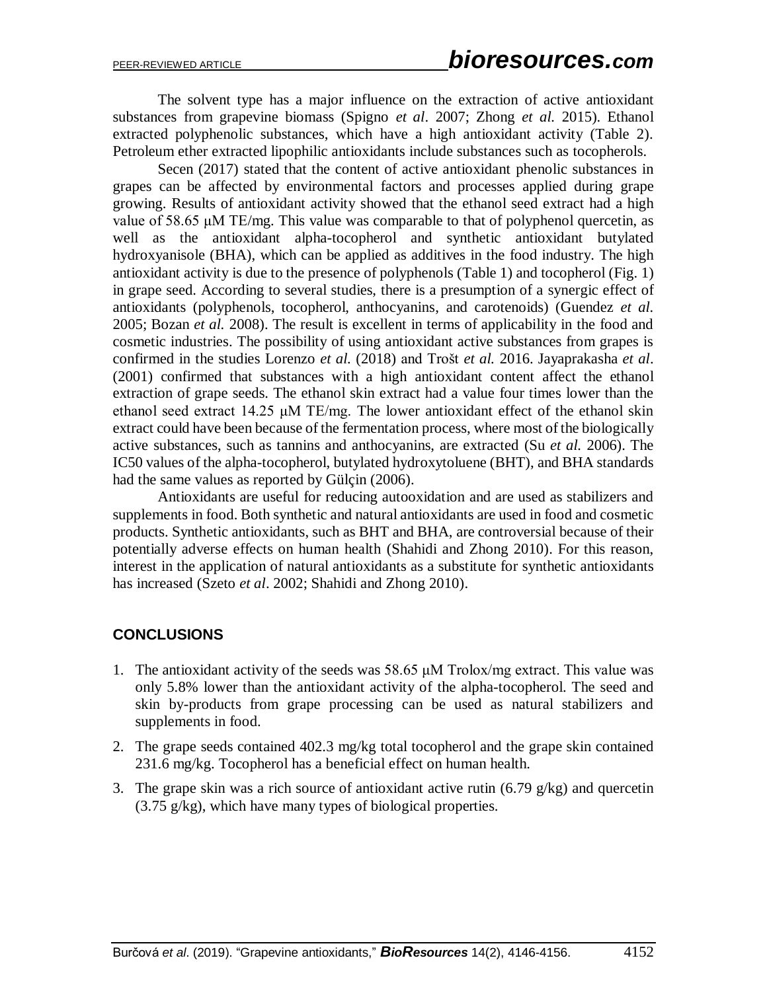The solvent type has a major influence on the extraction of active antioxidant substances from grapevine biomass (Spigno *et al*. 2007; Zhong *et al.* 2015). Ethanol extracted polyphenolic substances, which have a high antioxidant activity (Table 2). Petroleum ether extracted lipophilic antioxidants include substances such as tocopherols.

Secen (2017) stated that the content of active antioxidant phenolic substances in grapes can be affected by environmental factors and processes applied during grape growing. Results of antioxidant activity showed that the ethanol seed extract had a high value of 58.65  $\mu$ M TE/mg. This value was comparable to that of polyphenol quercetin, as well as the antioxidant alpha-tocopherol and synthetic antioxidant butylated hydroxyanisole (BHA), which can be applied as additives in the food industry. The high antioxidant activity is due to the presence of polyphenols (Table 1) and tocopherol (Fig. 1) in grape seed. According to several studies, there is a presumption of a synergic effect of antioxidants (polyphenols, tocopherol, anthocyanins, and carotenoids) (Guendez *et al.* 2005; Bozan *et al.* 2008). The result is excellent in terms of applicability in the food and cosmetic industries. The possibility of using antioxidant active substances from grapes is confirmed in the studies Lorenzo *et al.* (2018) and Trošt *et al.* 2016. Jayaprakasha *et al*. (2001) confirmed that substances with a high antioxidant content affect the ethanol extraction of grape seeds. The ethanol skin extract had a value four times lower than the ethanol seed extract 14.25 μM TE/mg. The lower antioxidant effect of the ethanol skin extract could have been because of the fermentation process, where most of the biologically active substances, such as tannins and anthocyanins, are extracted (Su *et al.* 2006). The IC50 values of the alpha-tocopherol, butylated hydroxytoluene (BHT), and BHA standards had the same values as reported by Gülçin (2006).

Antioxidants are useful for reducing autooxidation and are used as stabilizers and supplements in food. Both synthetic and natural antioxidants are used in food and cosmetic products. Synthetic antioxidants, such as BHT and BHA, are controversial because of their potentially adverse effects on human health (Shahidi and Zhong 2010). For this reason, interest in the application of natural antioxidants as a substitute for synthetic antioxidants has increased (Szeto *et al*. 2002; Shahidi and Zhong 2010).

## **CONCLUSIONS**

- 1. The antioxidant activity of the seeds was 58.65 μM Trolox/mg extract. This value was only 5.8% lower than the antioxidant activity of the alpha-tocopherol. The seed and skin by-products from grape processing can be used as natural stabilizers and supplements in food.
- 2. The grape seeds contained 402.3 mg/kg total tocopherol and the grape skin contained 231.6 mg/kg. Tocopherol has a beneficial effect on human health.
- 3. The grape skin was a rich source of antioxidant active rutin (6.79 g/kg) and quercetin (3.75 g/kg), which have many types of biological properties.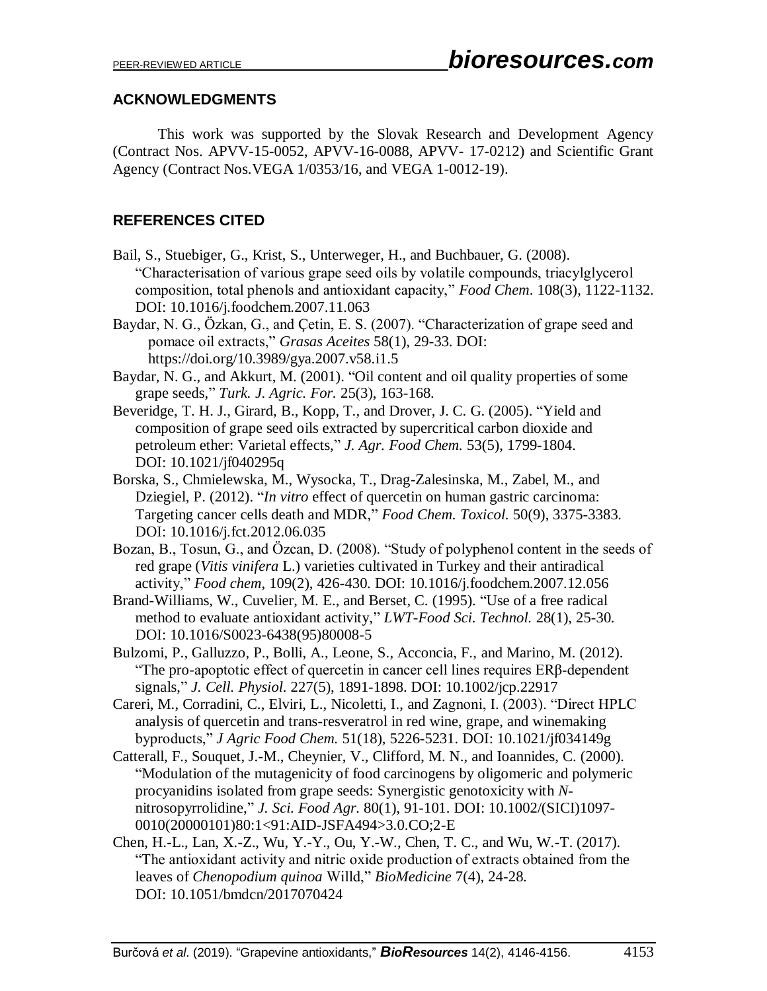## **ACKNOWLEDGMENTS**

This work was supported by the Slovak Research and Development Agency (Contract Nos. APVV-15-0052, APVV-16-0088, APVV- 17-0212) and Scientific Grant Agency (Contract Nos.VEGA 1/0353/16, and VEGA 1-0012-19).

# **REFERENCES CITED**

- Bail, S., Stuebiger, G., Krist, S., Unterweger, H., and Buchbauer, G. (2008). "Characterisation of various grape seed oils by volatile compounds, triacylglycerol composition, total phenols and antioxidant capacity," *Food Chem*. 108(3), 1122-1132. DOI: 10.1016/j.foodchem.2007.11.063
- Baydar, N. G., Özkan, G., and Çetin, E. S. (2007). "Characterization of grape seed and pomace oil extracts," *Grasas Aceites* 58(1), 29-33. DOI: https://doi.org/10.3989/gya.2007.v58.i1.5
- Baydar, N. G., and Akkurt, M. (2001). "Oil content and oil quality properties of some grape seeds," *Turk. J. Agric. For.* 25(3), 163-168.
- Beveridge, T. H. J., Girard, B., Kopp, T., and Drover, J. C. G. (2005). "Yield and composition of grape seed oils extracted by supercritical carbon dioxide and petroleum ether: Varietal effects," *J. Agr. Food Chem.* 53(5), 1799-1804. DOI: 10.1021/jf040295q
- Borska, S., Chmielewska, M., Wysocka, T., Drag-Zalesinska, M., Zabel, M., and Dziegiel, P. (2012). "*In vitro* effect of quercetin on human gastric carcinoma: Targeting cancer cells death and MDR," *Food Chem. Toxicol.* 50(9), 3375-3383. DOI: 10.1016/j.fct.2012.06.035
- Bozan, B., Tosun, G., and Özcan, D. (2008). "Study of polyphenol content in the seeds of red grape (*Vitis vinifera* L.) varieties cultivated in Turkey and their antiradical activity," *Food chem*, 109(2), 426-430. DOI: 10.1016/j.foodchem.2007.12.056
- Brand-Williams, W., Cuvelier, M. E., and Berset, C. (1995). "Use of a free radical method to evaluate antioxidant activity," *LWT-Food Sci. Technol.* 28(1), 25-30. DOI: 10.1016/S0023-6438(95)80008-5
- Bulzomi, P., Galluzzo, P., Bolli, A., Leone, S., Acconcia, F., and Marino, M. (2012). "The pro-apoptotic effect of quercetin in cancer cell lines requires ERβ‐dependent signals," *J. Cell. Physiol.* 227(5), 1891-1898. DOI: 10.1002/jcp.22917
- Careri, M., Corradini, C., Elviri, L., Nicoletti, I., and Zagnoni, I. (2003). "Direct HPLC analysis of quercetin and trans-resveratrol in red wine, grape, and winemaking byproducts," *J Agric Food Chem.* 51(18), 5226-5231. DOI: 10.1021/jf034149g
- Catterall, F., Souquet, J.-M., Cheynier, V., Clifford, M. N., and Ioannides, C. (2000). "Modulation of the mutagenicity of food carcinogens by oligomeric and polymeric procyanidins isolated from grape seeds: Synergistic genotoxicity with *N*‐ nitrosopyrrolidine," *J. Sci. Food Agr.* 80(1), 91-101. DOI: 10.1002/(SICI)1097- 0010(20000101)80:1<91:AID-JSFA494>3.0.CO;2-E
- Chen, H.-L., Lan, X.-Z., Wu, Y.-Y., Ou, Y.-W., Chen, T. C., and Wu, W.-T. (2017). "The antioxidant activity and nitric oxide production of extracts obtained from the leaves of *Chenopodium quinoa* Willd," *BioMedicine* 7(4), 24-28. DOI: 10.1051/bmdcn/2017070424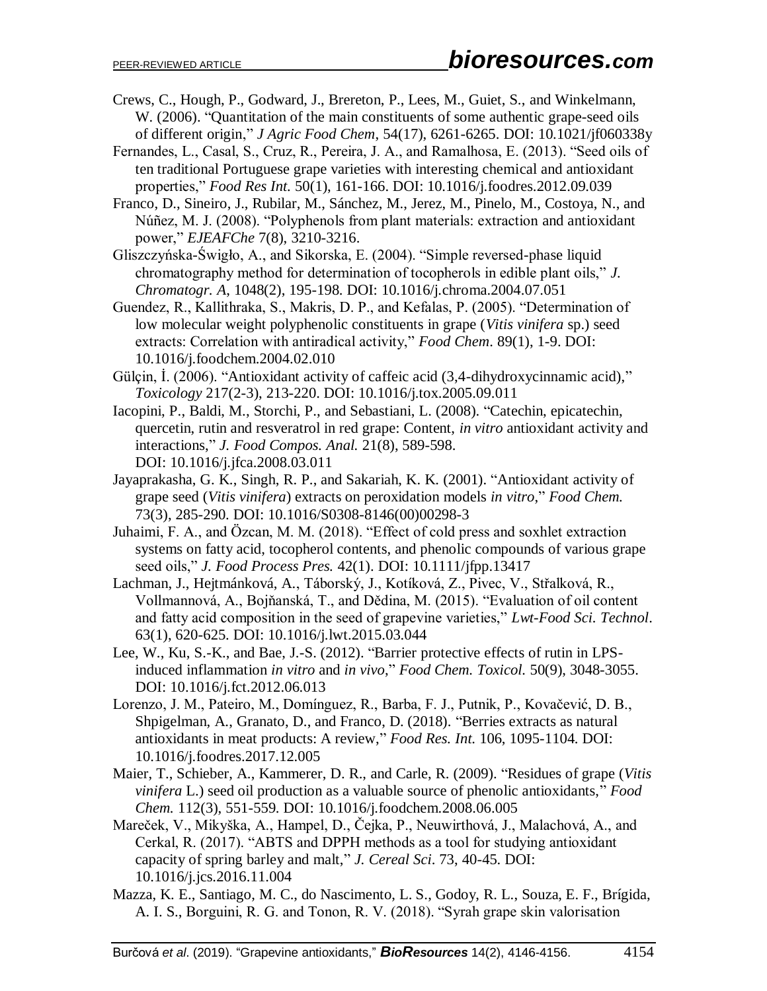- Crews, C., Hough, P., Godward, J., Brereton, P., Lees, M., Guiet, S., and Winkelmann, W. (2006). "Quantitation of the main constituents of some authentic grape-seed oils of different origin," *J Agric Food Chem*, 54(17), 6261-6265. DOI: 10.1021/jf060338y
- Fernandes, L., Casal, S., Cruz, R., Pereira, J. A., and Ramalhosa, E. (2013). "Seed oils of ten traditional Portuguese grape varieties with interesting chemical and antioxidant properties," *Food Res Int.* 50(1), 161-166. DOI: 10.1016/j.foodres.2012.09.039
- Franco, D., Sineiro, J., Rubilar, M., Sánchez, M., Jerez, M., Pinelo, M., Costoya, N., and Núñez, M. J. (2008). "Polyphenols from plant materials: extraction and antioxidant power," *EJEAFChe* 7(8), 3210-3216.
- Gliszczyńska-Świgło, A., and Sikorska, E. (2004). "Simple reversed-phase liquid chromatography method for determination of tocopherols in edible plant oils," *J. Chromatogr. A*, 1048(2), 195-198. DOI: [10.1016/j.chroma.2004.07.051](https://doi.org/10.1016/j.chroma.2004.07.051)
- Guendez, R., Kallithraka, S., Makris, D. P., and Kefalas, P. (2005). "Determination of low molecular weight polyphenolic constituents in grape (*Vitis vinifera* sp.) seed extracts: Correlation with antiradical activity," *Food Chem*. 89(1), 1-9. DOI: 10.1016/j.foodchem.2004.02.010
- Gülçin, İ. (2006). "Antioxidant activity of caffeic acid (3,4-dihydroxycinnamic acid)," *Toxicology* 217(2-3), 213-220. DOI: 10.1016/j.tox.2005.09.011
- Iacopini, P., Baldi, M., Storchi, P., and Sebastiani, L. (2008). "Catechin, epicatechin, quercetin, rutin and resveratrol in red grape: Content, *in vitro* antioxidant activity and interactions," *J. Food Compos. Anal.* 21(8), 589-598. DOI: 10.1016/j.jfca.2008.03.011
- Jayaprakasha, G. K., Singh, R. P., and Sakariah, K. K. (2001). "Antioxidant activity of grape seed (*Vitis vinifera*) extracts on peroxidation models *in vitro*," *Food Chem.* 73(3), 285-290. DOI: 10.1016/S0308-8146(00)00298-3
- Juhaimi, F. A., and Özcan, M. M. (2018). "Effect of cold press and soxhlet extraction systems on fatty acid, tocopherol contents, and phenolic compounds of various grape seed oils," *J. Food Process Pres.* 42(1). DOI: 10.1111/jfpp.13417
- Lachman, J., Hejtmánková, A., Táborský, J., Kotíková, Z., Pivec, V., Střalková, R., Vollmannová, A., Bojňanská, T., and Dědina, M. (2015). "Evaluation of oil content and fatty acid composition in the seed of grapevine varieties," *Lwt-Food Sci. Technol*. 63(1), 620-625. DOI: 10.1016/j.lwt.2015.03.044
- Lee, W., Ku, S.-K., and Bae, J.-S. (2012). "Barrier protective effects of rutin in LPSinduced inflammation *in vitro* and *in vivo*," *Food Chem. Toxicol.* 50(9), 3048-3055. DOI: 10.1016/j.fct.2012.06.013
- Lorenzo, J. M., Pateiro, M., Domínguez, R., Barba, F. J., Putnik, P., Kovačević, D. B., Shpigelman, A., Granato, D., and Franco, D. (2018). "Berries extracts as natural antioxidants in meat products: A review," *Food Res. Int*. 106, 1095-1104. DOI: 10.1016/j.foodres.2017.12.005
- Maier, T., Schieber, A., Kammerer, D. R., and Carle, R. (2009). "Residues of grape (*Vitis vinifera* L.) seed oil production as a valuable source of phenolic antioxidants," *Food Chem.* 112(3), 551-559. DOI: 10.1016/j.foodchem.2008.06.005
- Mareček, V., Mikyška, A., Hampel, D., Čejka, P., Neuwirthová, J., Malachová, A., and Cerkal, R. (2017). "ABTS and DPPH methods as a tool for studying antioxidant capacity of spring barley and malt," *J. Cereal Sci*. 73, 40-45. DOI: [10.1016/j.jcs.2016.11.004](https://doi.org/10.1016/j.jcs.2016.11.004)
- Mazza, K. E., Santiago, M. C., do Nascimento, L. S., Godoy, R. L., Souza, E. F., Brígida, A. I. S., Borguini, R. G. and Tonon, R. V. (2018). "Syrah grape skin valorisation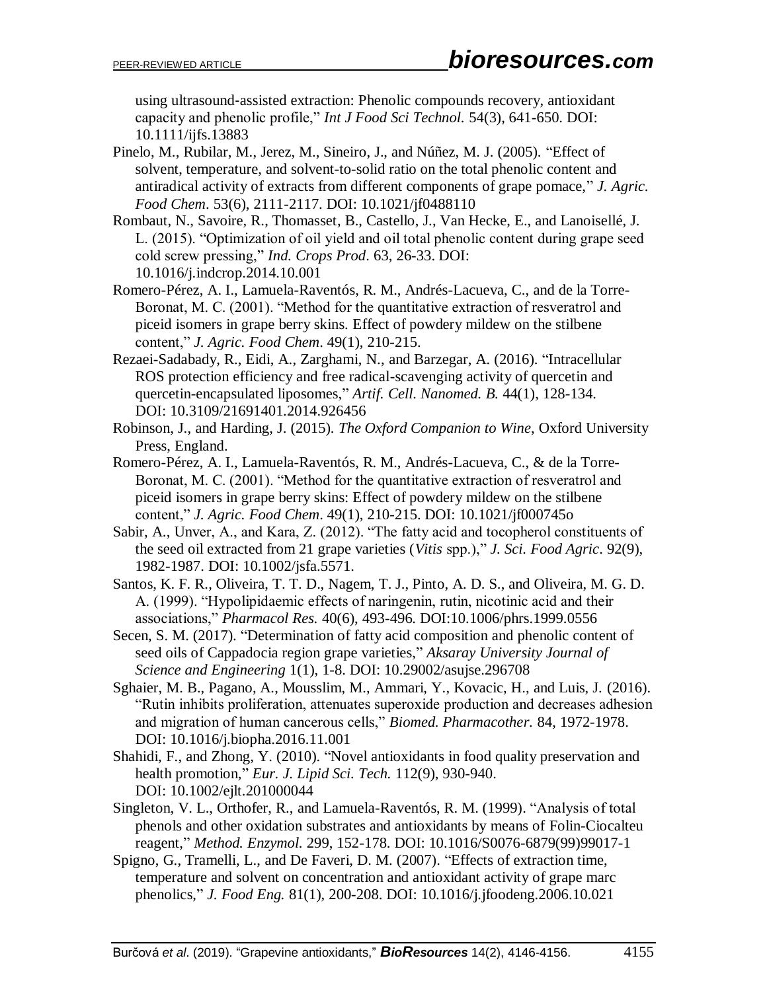using ultrasound‐assisted extraction: Phenolic compounds recovery, antioxidant capacity and phenolic profile," *Int J Food Sci Technol.* 54(3), 641-650. DOI: 10.1111/ijfs.13883

Pinelo, M., Rubilar, M., Jerez, M., Sineiro, J., and Núñez, M. J. (2005). "Effect of solvent, temperature, and solvent-to-solid ratio on the total phenolic content and antiradical activity of extracts from different components of grape pomace," *J. Agric. Food Chem*. 53(6), 2111-2117. DOI: 10.1021/jf0488110

Rombaut, N., Savoire, R., Thomasset, B., Castello, J., Van Hecke, E., and Lanoisellé, J. L. (2015). "Optimization of oil yield and oil total phenolic content during grape seed cold screw pressing," *Ind. Crops Prod*. 63, 26-33. DOI: [10.1016/j.indcrop.2014.10.001](https://doi.org/10.1016/j.indcrop.2014.10.001)

Romero-Pérez, A. I., Lamuela-Raventós, R. M., Andrés-Lacueva, C., and de la Torre-Boronat, M. C. (2001). "Method for the quantitative extraction of resveratrol and piceid isomers in grape berry skins. Effect of powdery mildew on the stilbene content," *J. Agric. Food Chem*. 49(1), 210-215.

- Rezaei-Sadabady, R., Eidi, A., Zarghami, N., and Barzegar, A. (2016). "Intracellular ROS protection efficiency and free radical-scavenging activity of quercetin and quercetin-encapsulated liposomes," *Artif. Cell. Nanomed. B.* 44(1), 128-134. DOI: 10.3109/21691401.2014.926456
- Robinson, J., and Harding, J. (2015). *The Oxford Companion to Wine*, Oxford University Press, England.
- Romero-Pérez, A. I., Lamuela-Raventós, R. M., Andrés-Lacueva, C., & de la Torre-Boronat, M. C. (2001). "Method for the quantitative extraction of resveratrol and piceid isomers in grape berry skins: Effect of powdery mildew on the stilbene content," *J. Agric. Food Chem*. 49(1), 210-215. DOI: 10.1021/jf000745o

Sabir, A., Unver, A., and Kara, Z. (2012). "The fatty acid and tocopherol constituents of the seed oil extracted from 21 grape varieties (*Vitis* spp.)," *J. Sci. Food Agric*. 92(9), 1982-1987. DOI: 10.1002/jsfa.5571.

- Santos, K. F. R., Oliveira, T. T. D., Nagem, T. J., Pinto, A. D. S., and Oliveira, M. G. D. A. (1999). "Hypolipidaemic effects of naringenin, rutin, nicotinic acid and their associations," *Pharmacol Res.* 40(6), 493-496. DOI:10.1006/phrs.1999.0556
- Secen, S. M. (2017). "Determination of fatty acid composition and phenolic content of seed oils of Cappadocia region grape varieties," *Aksaray University Journal of Science and Engineering* 1(1), 1-8. DOI: 10.29002/asujse.296708
- Sghaier, M. B., Pagano, A., Mousslim, M., Ammari, Y., Kovacic, H., and Luis, J. (2016). "Rutin inhibits proliferation, attenuates superoxide production and decreases adhesion and migration of human cancerous cells," *Biomed. Pharmacother.* 84, 1972-1978. DOI: 10.1016/j.biopha.2016.11.001
- Shahidi, F., and Zhong, Y. (2010). "Novel antioxidants in food quality preservation and health promotion," *Eur. J. Lipid Sci. Tech.* 112(9), 930-940. DOI: 10.1002/ejlt.201000044
- Singleton, V. L., Orthofer, R., and Lamuela-Raventós, R. M. (1999). "Analysis of total phenols and other oxidation substrates and antioxidants by means of Folin-Ciocalteu reagent," *Method. Enzymol.* 299, 152-178. DOI: 10.1016/S0076-6879(99)99017-1
- Spigno, G., Tramelli, L., and De Faveri, D. M. (2007). "Effects of extraction time, temperature and solvent on concentration and antioxidant activity of grape marc phenolics," *J. Food Eng.* 81(1), 200-208. DOI: 10.1016/j.jfoodeng.2006.10.021